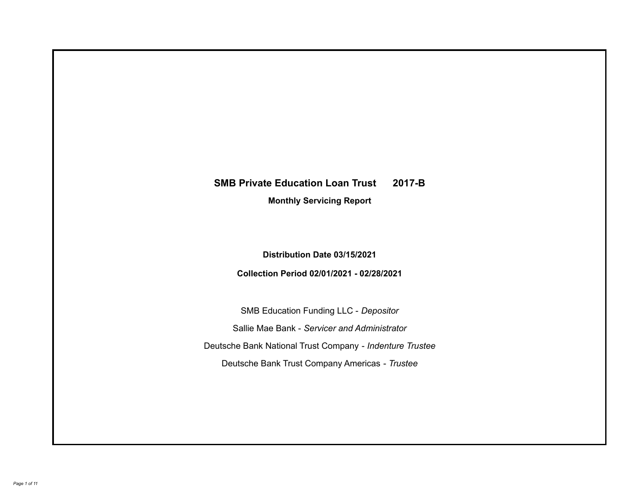# **SMB Private Education Loan Trust 2017-B**

**Monthly Servicing Report**

**Distribution Date 03/15/2021**

**Collection Period 02/01/2021 - 02/28/2021**

SMB Education Funding LLC - *Depositor* Sallie Mae Bank - *Servicer and Administrator* Deutsche Bank National Trust Company - *Indenture Trustee* Deutsche Bank Trust Company Americas - *Trustee*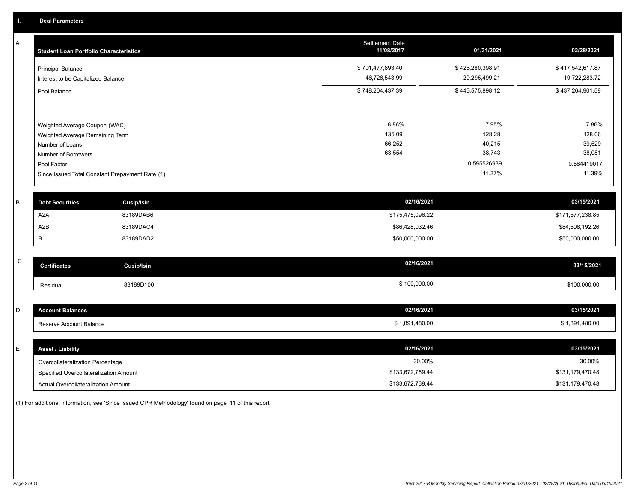A

| A | <b>Student Loan Portfolio Characteristics</b> |                                                 | <b>Settlement Date</b><br>11/08/2017 | 01/31/2021       | 02/28/2021       |
|---|-----------------------------------------------|-------------------------------------------------|--------------------------------------|------------------|------------------|
|   | <b>Principal Balance</b>                      |                                                 | \$701,477,893.40                     | \$425,280,398.91 | \$417,542,617.87 |
|   | Interest to be Capitalized Balance            |                                                 | 46,726,543.99                        | 20,295,499.21    | 19,722,283.72    |
|   | Pool Balance                                  |                                                 | \$748,204,437.39                     | \$445,575,898.12 | \$437,264,901.59 |
|   |                                               |                                                 |                                      |                  |                  |
|   | Weighted Average Coupon (WAC)                 |                                                 | 8.86%                                | 7.95%            | 7.86%            |
|   | Weighted Average Remaining Term               |                                                 | 135.09                               | 128.28           | 128.06           |
|   | Number of Loans                               |                                                 | 66,252                               | 40,215           | 39,529           |
|   | Number of Borrowers                           |                                                 | 63,554                               | 38,743           | 38,081           |
|   | Pool Factor                                   |                                                 |                                      | 0.595526939      | 0.584419017      |
|   |                                               | Since Issued Total Constant Prepayment Rate (1) |                                      | 11.37%           | 11.39%           |
| B | <b>Debt Securities</b>                        | <b>Cusip/Isin</b>                               | 02/16/2021                           |                  | 03/15/2021       |
|   | A <sub>2</sub> A                              | 83189DAB6                                       | \$175,475,096.22                     |                  | \$171,577,238.85 |
|   | A2B                                           | 83189DAC4                                       | \$86,428,032.46                      |                  | \$84,508,192.26  |
|   | В                                             | 83189DAD2                                       | \$50,000,000.00                      |                  | \$50,000,000.00  |
|   |                                               |                                                 |                                      |                  |                  |
| C | <b>Certificates</b>                           | <b>Cusip/Isin</b>                               | 02/16/2021                           |                  | 03/15/2021       |
|   | Residual                                      | 83189D100                                       | \$100,000.00                         |                  | \$100,000.00     |
|   |                                               |                                                 |                                      |                  |                  |
| D | <b>Account Balances</b>                       |                                                 | 02/16/2021                           |                  | 03/15/2021       |
|   | Reserve Account Balance                       |                                                 | \$1,891,480.00                       |                  | \$1,891,480.00   |
|   |                                               |                                                 |                                      |                  |                  |
| E | <b>Asset / Liability</b>                      |                                                 | 02/16/2021                           |                  | 03/15/2021       |

Overcollateralization Percentage \$133,672,769.44 \$131,179,470.48 \$131,179,470.48 Actual Overcollateralization Amount \$133,672,769.44 Specified Overcollateralization Amount 30.00% 30.00%

(1) For additional information, see 'Since Issued CPR Methodology' found on page 11 of this report.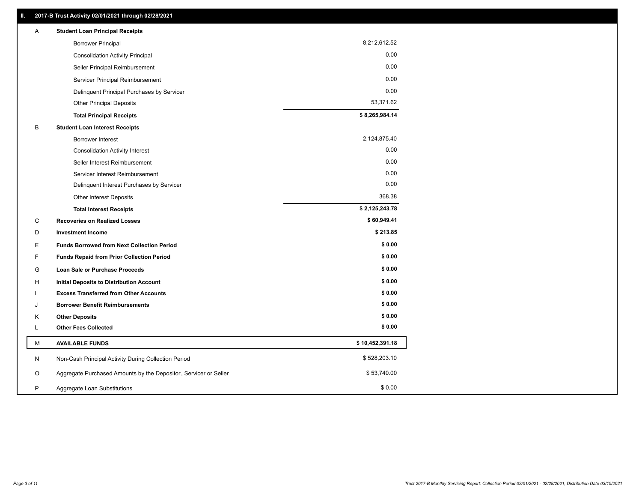| Α | <b>Student Loan Principal Receipts</b>                           |                 |
|---|------------------------------------------------------------------|-----------------|
|   | <b>Borrower Principal</b>                                        | 8,212,612.52    |
|   | <b>Consolidation Activity Principal</b>                          | 0.00            |
|   | Seller Principal Reimbursement                                   | 0.00            |
|   | Servicer Principal Reimbursement                                 | 0.00            |
|   | Delinquent Principal Purchases by Servicer                       | 0.00            |
|   | <b>Other Principal Deposits</b>                                  | 53,371.62       |
|   | <b>Total Principal Receipts</b>                                  | \$8,265,984.14  |
| B | <b>Student Loan Interest Receipts</b>                            |                 |
|   | <b>Borrower Interest</b>                                         | 2,124,875.40    |
|   | <b>Consolidation Activity Interest</b>                           | 0.00            |
|   | Seller Interest Reimbursement                                    | 0.00            |
|   | Servicer Interest Reimbursement                                  | 0.00            |
|   | Delinquent Interest Purchases by Servicer                        | 0.00            |
|   | Other Interest Deposits                                          | 368.38          |
|   | <b>Total Interest Receipts</b>                                   | \$2,125,243.78  |
| C | <b>Recoveries on Realized Losses</b>                             | \$60,949.41     |
| D | <b>Investment Income</b>                                         | \$213.85        |
| Е | <b>Funds Borrowed from Next Collection Period</b>                | \$0.00          |
| F | <b>Funds Repaid from Prior Collection Period</b>                 | \$0.00          |
| G | Loan Sale or Purchase Proceeds                                   | \$0.00          |
| H | <b>Initial Deposits to Distribution Account</b>                  | \$0.00          |
|   | <b>Excess Transferred from Other Accounts</b>                    | \$0.00          |
| J | <b>Borrower Benefit Reimbursements</b>                           | \$0.00          |
| Κ | <b>Other Deposits</b>                                            | \$0.00          |
| L | <b>Other Fees Collected</b>                                      | \$0.00          |
| М | <b>AVAILABLE FUNDS</b>                                           | \$10,452,391.18 |
| N | Non-Cash Principal Activity During Collection Period             | \$528,203.10    |
| O | Aggregate Purchased Amounts by the Depositor, Servicer or Seller | \$53,740.00     |
| P | Aggregate Loan Substitutions                                     | \$0.00          |
|   |                                                                  |                 |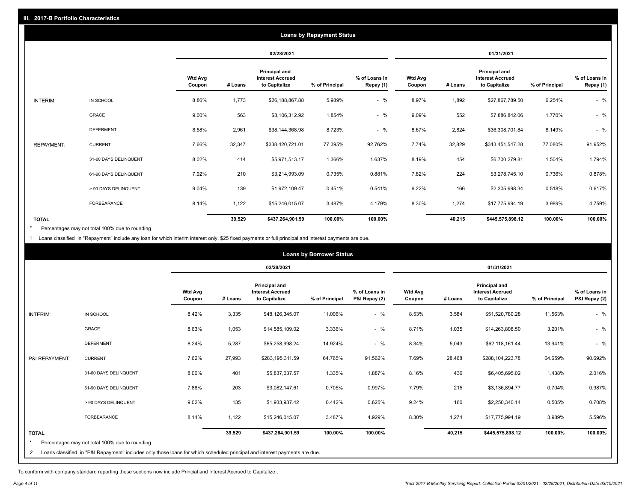|                   |                       |                          |         |                                                           | <b>Loans by Repayment Status</b> |                            |                          |         |                                                                  |                |                            |
|-------------------|-----------------------|--------------------------|---------|-----------------------------------------------------------|----------------------------------|----------------------------|--------------------------|---------|------------------------------------------------------------------|----------------|----------------------------|
|                   |                       |                          |         | 02/28/2021                                                |                                  |                            |                          |         | 01/31/2021                                                       |                |                            |
|                   |                       | <b>Wtd Avg</b><br>Coupon | # Loans | Principal and<br><b>Interest Accrued</b><br>to Capitalize | % of Principal                   | % of Loans in<br>Repay (1) | <b>Wtd Avg</b><br>Coupon | # Loans | <b>Principal and</b><br><b>Interest Accrued</b><br>to Capitalize | % of Principal | % of Loans in<br>Repay (1) |
| INTERIM:          | IN SCHOOL             | 8.86%                    | 1,773   | \$26,188,867.88                                           | 5.989%                           | $-$ %                      | 8.97%                    | 1,892   | \$27,867,789.50                                                  | 6.254%         | $-$ %                      |
|                   | <b>GRACE</b>          | 9.00%                    | 563     | \$8,106,312.92                                            | 1.854%                           | $-$ %                      | 9.09%                    | 552     | \$7,886,842.06                                                   | 1.770%         | $-$ %                      |
|                   | <b>DEFERMENT</b>      | 8.58%                    | 2,961   | \$38,144,368.98                                           | 8.723%                           | $-$ %                      | 8.67%                    | 2,824   | \$36,308,701.84                                                  | 8.149%         | $-$ %                      |
| <b>REPAYMENT:</b> | <b>CURRENT</b>        | 7.66%                    | 32,347  | \$338,420,721.01                                          | 77.395%                          | 92.762%                    | 7.74%                    | 32,829  | \$343,451,547.28                                                 | 77.080%        | 91.952%                    |
|                   | 31-60 DAYS DELINQUENT | 8.02%                    | 414     | \$5,971,513.17                                            | 1.366%                           | 1.637%                     | 8.19%                    | 454     | \$6,700,279.81                                                   | 1.504%         | 1.794%                     |
|                   | 61-90 DAYS DELINQUENT | 7.92%                    | 210     | \$3,214,993.09                                            | 0.735%                           | 0.881%                     | 7.82%                    | 224     | \$3,278,745.10                                                   | 0.736%         | 0.878%                     |
|                   | > 90 DAYS DELINQUENT  | 9.04%                    | 139     | \$1,972,109.47                                            | 0.451%                           | 0.541%                     | 9.22%                    | 166     | \$2,305,998.34                                                   | 0.518%         | 0.617%                     |
|                   | <b>FORBEARANCE</b>    | 8.14%                    | 1,122   | \$15,246,015.07                                           | 3.487%                           | 4.179%                     | 8.30%                    | 1,274   | \$17,775,994.19                                                  | 3.989%         | 4.759%                     |
| <b>TOTAL</b>      |                       |                          | 39,529  | \$437,264,901.59                                          | 100.00%                          | 100.00%                    |                          | 40,215  | \$445,575,898.12                                                 | 100.00%        | 100.00%                    |

Percentages may not total 100% due to rounding \*

1 Loans classified in "Repayment" include any loan for which interim interest only, \$25 fixed payments or full principal and interest payments are due.

|                         |                                                                                                                            |                          | <b>Loans by Borrower Status</b> |                                                           |                |                                |                          |         |                                                                  |                |                                |
|-------------------------|----------------------------------------------------------------------------------------------------------------------------|--------------------------|---------------------------------|-----------------------------------------------------------|----------------|--------------------------------|--------------------------|---------|------------------------------------------------------------------|----------------|--------------------------------|
|                         |                                                                                                                            |                          |                                 | 02/28/2021                                                |                |                                |                          |         | 01/31/2021                                                       |                |                                |
|                         |                                                                                                                            | <b>Wtd Avg</b><br>Coupon | # Loans                         | Principal and<br><b>Interest Accrued</b><br>to Capitalize | % of Principal | % of Loans in<br>P&I Repay (2) | <b>Wtd Avg</b><br>Coupon | # Loans | <b>Principal and</b><br><b>Interest Accrued</b><br>to Capitalize | % of Principal | % of Loans in<br>P&I Repay (2) |
| INTERIM:                | IN SCHOOL                                                                                                                  | 8.42%                    | 3,335                           | \$48,126,345.07                                           | 11.006%        | $-$ %                          | 8.53%                    | 3,584   | \$51,520,780.28                                                  | 11.563%        | $-$ %                          |
|                         | <b>GRACE</b>                                                                                                               | 8.63%                    | 1,053                           | \$14,585,109.02                                           | 3.336%         | $-$ %                          | 8.71%                    | 1,035   | \$14,263,808.50                                                  | 3.201%         | $-$ %                          |
|                         | <b>DEFERMENT</b>                                                                                                           | 8.24%                    | 5,287                           | \$65,258,998.24                                           | 14.924%        | $-$ %                          | 8.34%                    | 5,043   | \$62,118,161.44                                                  | 13.941%        | $-$ %                          |
| P&I REPAYMENT:          | <b>CURRENT</b>                                                                                                             | 7.62%                    | 27,993                          | \$283,195,311.59                                          | 64.765%        | 91.562%                        | 7.69%                    | 28,468  | \$288,104,223.78                                                 | 64.659%        | 90.692%                        |
|                         | 31-60 DAYS DELINQUENT                                                                                                      | 8.00%                    | 401                             | \$5,837,037.57                                            | 1.335%         | 1.887%                         | 8.16%                    | 436     | \$6,405,695.02                                                   | 1.438%         | 2.016%                         |
|                         | 61-90 DAYS DELINQUENT                                                                                                      | 7.88%                    | 203                             | \$3,082,147.61                                            | 0.705%         | 0.997%                         | 7.79%                    | 215     | \$3,136,894.77                                                   | 0.704%         | 0.987%                         |
|                         | > 90 DAYS DELINQUENT                                                                                                       | 9.02%                    | 135                             | \$1,933,937.42                                            | 0.442%         | 0.625%                         | 9.24%                    | 160     | \$2,250,340.14                                                   | 0.505%         | 0.708%                         |
|                         | FORBEARANCE                                                                                                                | 8.14%                    | 1,122                           | \$15,246,015.07                                           | 3.487%         | 4.929%                         | 8.30%                    | 1,274   | \$17,775,994.19                                                  | 3.989%         | 5.596%                         |
| <b>TOTAL</b><br>$\star$ | Percentages may not total 100% due to rounding                                                                             |                          | 39,529                          | \$437,264,901.59                                          | 100.00%        | 100.00%                        |                          | 40,215  | \$445,575,898.12                                                 | 100.00%        | 100.00%                        |
| 2                       | Loans classified in "P&I Repayment" includes only those loans for which scheduled principal and interest payments are due. |                          |                                 |                                                           |                |                                |                          |         |                                                                  |                |                                |

To conform with company standard reporting these sections now include Princial and Interest Accrued to Capitalize .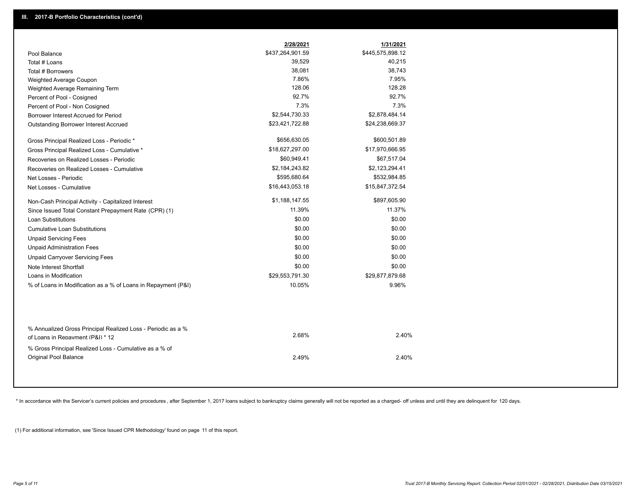|                                                                                        | 2/28/2021        | 1/31/2021        |
|----------------------------------------------------------------------------------------|------------------|------------------|
| Pool Balance                                                                           | \$437,264,901.59 | \$445,575,898.12 |
| Total # Loans                                                                          | 39,529           | 40,215           |
| Total # Borrowers                                                                      | 38,081           | 38,743           |
| Weighted Average Coupon                                                                | 7.86%            | 7.95%            |
| Weighted Average Remaining Term                                                        | 128.06           | 128.28           |
| Percent of Pool - Cosigned                                                             | 92.7%            | 92.7%            |
| Percent of Pool - Non Cosigned                                                         | 7.3%             | 7.3%             |
| Borrower Interest Accrued for Period                                                   | \$2,544,730.33   | \$2,878,484.14   |
| Outstanding Borrower Interest Accrued                                                  | \$23,421,722.88  | \$24,238,669.37  |
| Gross Principal Realized Loss - Periodic *                                             | \$656,630.05     | \$600,501.89     |
| Gross Principal Realized Loss - Cumulative *                                           | \$18,627,297.00  | \$17,970,666.95  |
| Recoveries on Realized Losses - Periodic                                               | \$60,949.41      | \$67,517.04      |
| Recoveries on Realized Losses - Cumulative                                             | \$2,184,243.82   | \$2,123,294.41   |
| Net Losses - Periodic                                                                  | \$595,680.64     | \$532,984.85     |
| Net Losses - Cumulative                                                                | \$16,443,053.18  | \$15,847,372.54  |
| Non-Cash Principal Activity - Capitalized Interest                                     | \$1,188,147.55   | \$897,605.90     |
| Since Issued Total Constant Prepayment Rate (CPR) (1)                                  | 11.39%           | 11.37%           |
| <b>Loan Substitutions</b>                                                              | \$0.00           | \$0.00           |
| <b>Cumulative Loan Substitutions</b>                                                   | \$0.00           | \$0.00           |
| <b>Unpaid Servicing Fees</b>                                                           | \$0.00           | \$0.00           |
| <b>Unpaid Administration Fees</b>                                                      | \$0.00           | \$0.00           |
| <b>Unpaid Carryover Servicing Fees</b>                                                 | \$0.00           | \$0.00           |
| Note Interest Shortfall                                                                | \$0.00           | \$0.00           |
| Loans in Modification                                                                  | \$29,553,791.30  | \$29,877,879.68  |
| % of Loans in Modification as a % of Loans in Repayment (P&I)                          | 10.05%           | 9.96%            |
| % Annualized Gross Principal Realized Loss - Periodic as a %                           |                  |                  |
| of Loans in Repayment (P&I) * 12                                                       | 2.68%            | 2.40%            |
| % Gross Principal Realized Loss - Cumulative as a % of<br><b>Original Pool Balance</b> | 2.49%            | 2.40%            |

\* In accordance with the Servicer's current policies and procedures, after September 1, 2017 loans subject to bankruptcy claims generally will not be reported as a charged- off unless and until they are delinquent for 120

(1) For additional information, see 'Since Issued CPR Methodology' found on page 11 of this report.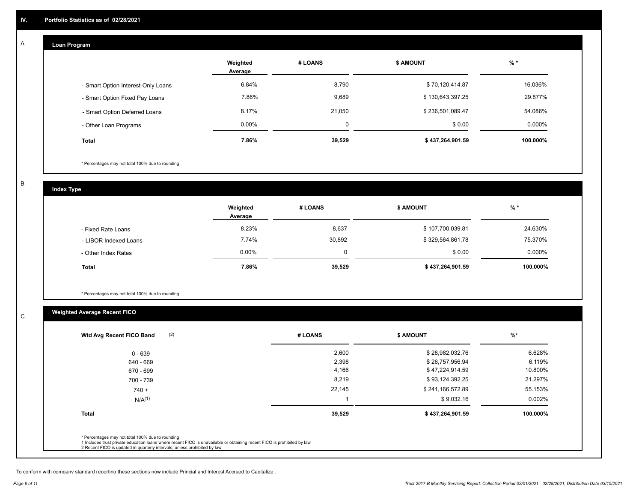#### **Loan Program**  A

|                                    | Weighted<br>Average | # LOANS | <b>\$ AMOUNT</b> | $%$ *    |
|------------------------------------|---------------------|---------|------------------|----------|
| - Smart Option Interest-Only Loans | 6.84%               | 8,790   | \$70,120,414.87  | 16.036%  |
| - Smart Option Fixed Pay Loans     | 7.86%               | 9,689   | \$130,643,397.25 | 29.877%  |
| - Smart Option Deferred Loans      | 8.17%               | 21.050  | \$236,501,089.47 | 54.086%  |
| - Other Loan Programs              | $0.00\%$            | 0       | \$0.00           | 0.000%   |
| <b>Total</b>                       | 7.86%               | 39,529  | \$437,264,901.59 | 100.000% |

\* Percentages may not total 100% due to rounding

B

C

**Index Type**

|                       | Weighted<br>Average | # LOANS | \$ AMOUNT        | $%$ *    |
|-----------------------|---------------------|---------|------------------|----------|
| - Fixed Rate Loans    | 8.23%               | 8,637   | \$107,700,039.81 | 24.630%  |
| - LIBOR Indexed Loans | 7.74%               | 30,892  | \$329,564,861.78 | 75.370%  |
| - Other Index Rates   | $0.00\%$            |         | \$0.00           | 0.000%   |
| <b>Total</b>          | 7.86%               | 39,529  | \$437,264,901.59 | 100.000% |

\* Percentages may not total 100% due to rounding

## **Weighted Average Recent FICO**

| 2,600<br>2,398<br>4,166<br>8,219 | \$28,982,032.76<br>\$26,757,956.94<br>\$47,224,914.59 | 6.628%<br>6.119%<br>10.800% |
|----------------------------------|-------------------------------------------------------|-----------------------------|
|                                  |                                                       |                             |
|                                  |                                                       |                             |
|                                  |                                                       |                             |
|                                  | \$93,124,392.25                                       | 21.297%                     |
| 22,145                           | \$241,166,572.89                                      | 55.153%                     |
|                                  | \$9,032.16                                            | 0.002%                      |
| 39,529                           | \$437,264,901.59                                      | 100.000%                    |
|                                  |                                                       |                             |

To conform with company standard reporting these sections now include Princial and Interest Accrued to Capitalize .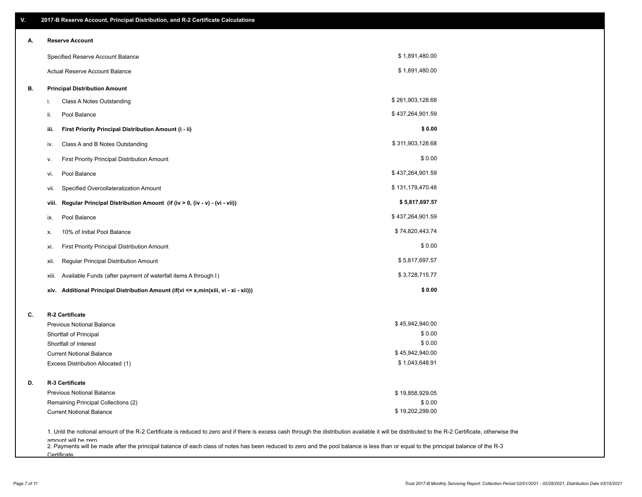| V. | 2017-B Reserve Account, Principal Distribution, and R-2 Certificate Calculations                                                                                                                                          |                  |  |
|----|---------------------------------------------------------------------------------------------------------------------------------------------------------------------------------------------------------------------------|------------------|--|
| Α. | <b>Reserve Account</b>                                                                                                                                                                                                    |                  |  |
|    | Specified Reserve Account Balance                                                                                                                                                                                         | \$1,891,480.00   |  |
|    | Actual Reserve Account Balance                                                                                                                                                                                            | \$1,891,480.00   |  |
| В. | <b>Principal Distribution Amount</b>                                                                                                                                                                                      |                  |  |
|    | Class A Notes Outstanding<br>i.                                                                                                                                                                                           | \$261,903,128.68 |  |
|    | Pool Balance<br>ii.                                                                                                                                                                                                       | \$437,264,901.59 |  |
|    | First Priority Principal Distribution Amount (i - ii)<br>iii.                                                                                                                                                             | \$0.00           |  |
|    | Class A and B Notes Outstanding<br>iv.                                                                                                                                                                                    | \$311,903,128.68 |  |
|    | First Priority Principal Distribution Amount<br>۷.                                                                                                                                                                        | \$0.00           |  |
|    | Pool Balance<br>VI.                                                                                                                                                                                                       | \$437,264,901.59 |  |
|    | Specified Overcollateralization Amount<br>vii.                                                                                                                                                                            | \$131,179,470.48 |  |
|    | Regular Principal Distribution Amount (if (iv > 0, (iv - v) - (vi - vii))<br>viii.                                                                                                                                        | \$5,817,697.57   |  |
|    | Pool Balance<br>ix.                                                                                                                                                                                                       | \$437,264,901.59 |  |
|    | 10% of Initial Pool Balance<br>х.                                                                                                                                                                                         | \$74,820,443.74  |  |
|    | First Priority Principal Distribution Amount<br>xi.                                                                                                                                                                       | \$0.00           |  |
|    | Regular Principal Distribution Amount<br>xii.                                                                                                                                                                             | \$5,817,697.57   |  |
|    | Available Funds (after payment of waterfall items A through I)<br>xiii.                                                                                                                                                   | \$3,728,715.77   |  |
|    | Additional Principal Distribution Amount (if(vi <= x,min(xiii, vi - xi - xii)))<br>xiv.                                                                                                                                   | \$0.00           |  |
| C. | R-2 Certificate                                                                                                                                                                                                           |                  |  |
|    | <b>Previous Notional Balance</b>                                                                                                                                                                                          | \$45,942,940.00  |  |
|    | Shortfall of Principal                                                                                                                                                                                                    | \$0.00           |  |
|    | Shortfall of Interest                                                                                                                                                                                                     | \$0.00           |  |
|    | <b>Current Notional Balance</b>                                                                                                                                                                                           | \$45,942,940.00  |  |
|    | Excess Distribution Allocated (1)                                                                                                                                                                                         | \$1,043,648.91   |  |
| D. | R-3 Certificate                                                                                                                                                                                                           |                  |  |
|    | <b>Previous Notional Balance</b>                                                                                                                                                                                          | \$19,858,929.05  |  |
|    | Remaining Principal Collections (2)                                                                                                                                                                                       | \$0.00           |  |
|    | <b>Current Notional Balance</b>                                                                                                                                                                                           | \$19,202,299.00  |  |
|    | 1. Until the notional amount of the R-2 Certificate is reduced to zero and if there is excess cash through the distribution available it will be distributed to the R-2 Certificate, otherwise the<br>amount will be zero |                  |  |

amount will be zero<br>2. Payments will be made after the principal balance of each class of notes has been reduced to zero and the pool balance is less than or equal to the principal balance of the R-3 **Certificate**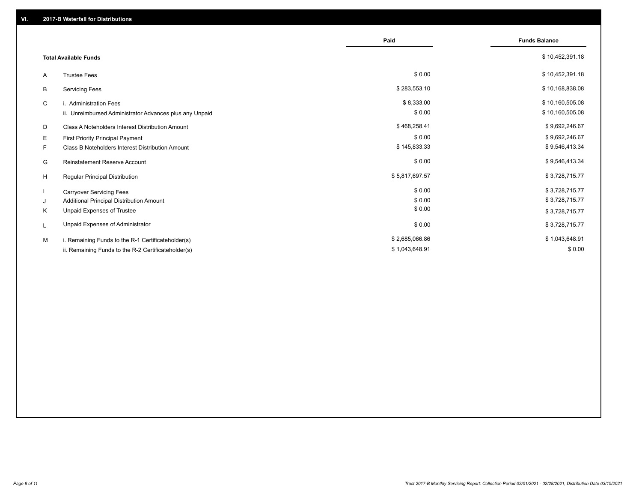|    |                                                         | Paid           | <b>Funds Balance</b> |
|----|---------------------------------------------------------|----------------|----------------------|
|    | <b>Total Available Funds</b>                            |                | \$10,452,391.18      |
| A  | <b>Trustee Fees</b>                                     | \$0.00         | \$10,452,391.18      |
| В  | <b>Servicing Fees</b>                                   | \$283,553.10   | \$10,168,838.08      |
| C  | i. Administration Fees                                  | \$8,333.00     | \$10,160,505.08      |
|    | ii. Unreimbursed Administrator Advances plus any Unpaid | \$0.00         | \$10,160,505.08      |
| D  | Class A Noteholders Interest Distribution Amount        | \$468,258.41   | \$9,692,246.67       |
| Е  | First Priority Principal Payment                        | \$0.00         | \$9,692,246.67       |
| F. | Class B Noteholders Interest Distribution Amount        | \$145,833.33   | \$9,546,413.34       |
| G  | <b>Reinstatement Reserve Account</b>                    | \$0.00         | \$9,546,413.34       |
| H  | Regular Principal Distribution                          | \$5,817,697.57 | \$3,728,715.77       |
|    | <b>Carryover Servicing Fees</b>                         | \$0.00         | \$3,728,715.77       |
| J  | Additional Principal Distribution Amount                | \$0.00         | \$3,728,715.77       |
| Κ  | Unpaid Expenses of Trustee                              | \$0.00         | \$3,728,715.77       |
| L  | Unpaid Expenses of Administrator                        | \$0.00         | \$3,728,715.77       |
| M  | i. Remaining Funds to the R-1 Certificateholder(s)      | \$2,685,066.86 | \$1,043,648.91       |
|    | ii. Remaining Funds to the R-2 Certificateholder(s)     | \$1,043,648.91 | \$0.00               |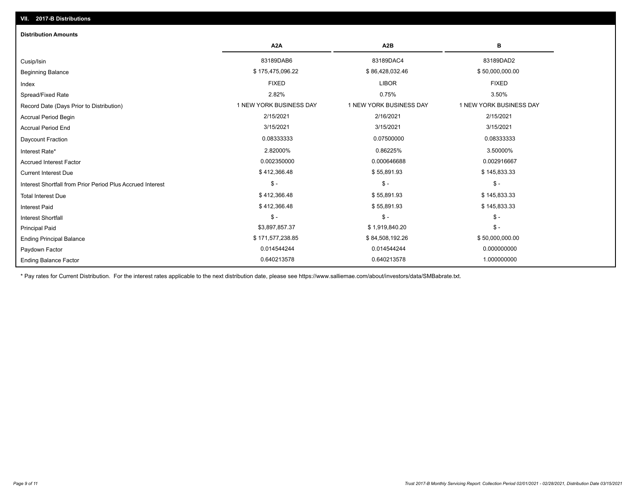| <b>Distribution Amounts</b>                                |                         |                         |                         |
|------------------------------------------------------------|-------------------------|-------------------------|-------------------------|
|                                                            | A <sub>2</sub> A        | A <sub>2</sub> B        | в                       |
| Cusip/Isin                                                 | 83189DAB6               | 83189DAC4               | 83189DAD2               |
| <b>Beginning Balance</b>                                   | \$175,475,096.22        | \$86,428,032.46         | \$50,000,000.00         |
| Index                                                      | <b>FIXED</b>            | <b>LIBOR</b>            | <b>FIXED</b>            |
| Spread/Fixed Rate                                          | 2.82%                   | 0.75%                   | 3.50%                   |
| Record Date (Days Prior to Distribution)                   | 1 NEW YORK BUSINESS DAY | 1 NEW YORK BUSINESS DAY | 1 NEW YORK BUSINESS DAY |
| <b>Accrual Period Begin</b>                                | 2/15/2021               | 2/16/2021               | 2/15/2021               |
| <b>Accrual Period End</b>                                  | 3/15/2021               | 3/15/2021               | 3/15/2021               |
| <b>Daycount Fraction</b>                                   | 0.08333333              | 0.07500000              | 0.08333333              |
| Interest Rate*                                             | 2.82000%                | 0.86225%                | 3.50000%                |
| <b>Accrued Interest Factor</b>                             | 0.002350000             | 0.000646688             | 0.002916667             |
| <b>Current Interest Due</b>                                | \$412,366.48            | \$55,891.93             | \$145,833.33            |
| Interest Shortfall from Prior Period Plus Accrued Interest | $\frac{1}{2}$           | $\mathsf{\$}$ -         | $\mathcal{S}$ -         |
| <b>Total Interest Due</b>                                  | \$412,366.48            | \$55,891.93             | \$145,833.33            |
| <b>Interest Paid</b>                                       | \$412,366.48            | \$55,891.93             | \$145,833.33            |
| Interest Shortfall                                         | $$ -$                   | $\mathsf{\$}$ -         | $\mathsf{\$}$ -         |
| <b>Principal Paid</b>                                      | \$3,897,857.37          | \$1,919,840.20          | $\mathsf{\$}$ -         |
| <b>Ending Principal Balance</b>                            | \$171,577,238.85        | \$84,508,192.26         | \$50,000,000.00         |
| Paydown Factor                                             | 0.014544244             | 0.014544244             | 0.000000000             |
| <b>Ending Balance Factor</b>                               | 0.640213578             | 0.640213578             | 1.000000000             |

\* Pay rates for Current Distribution. For the interest rates applicable to the next distribution date, please see https://www.salliemae.com/about/investors/data/SMBabrate.txt.

**VII. 2017-B Distributions**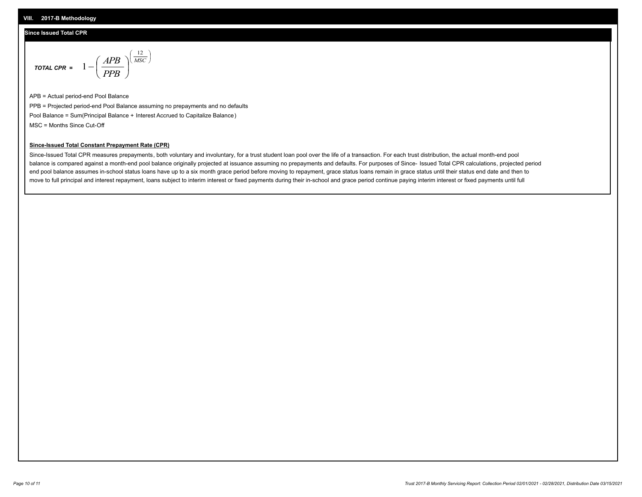#### **VIII. 2017-B Methodology**

#### **Since Issued Total CPR**

$$
\text{total CPR} = 1 - \left(\frac{APB}{PPB}\right)^{\left(\frac{12}{MSC}\right)}
$$

APB = Actual period-end Pool Balance PPB = Projected period-end Pool Balance assuming no prepayments and no defaults Pool Balance = Sum(Principal Balance + Interest Accrued to Capitalize Balance) MSC = Months Since Cut-Off

 $\mathsf{I}$ J λ

### **Since-Issued Total Constant Prepayment Rate (CPR)**

Since-Issued Total CPR measures prepayments, both voluntary and involuntary, for a trust student loan pool over the life of a transaction. For each trust distribution, the actual month-end pool balance is compared against a month-end pool balance originally projected at issuance assuming no prepayments and defaults. For purposes of Since- Issued Total CPR calculations, projected period end pool balance assumes in-school status loans have up to a six month grace period before moving to repayment, grace status loans remain in grace status until their status end date and then to move to full principal and interest repayment, loans subject to interim interest or fixed payments during their in-school and grace period continue paying interim interest or fixed payments until full